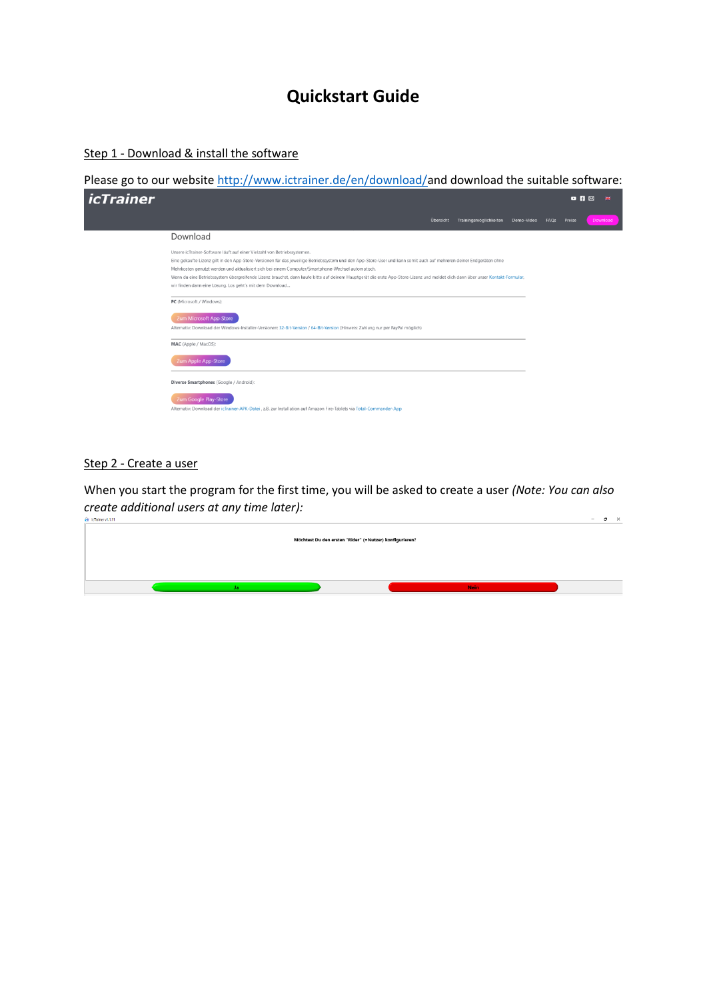# **Quickstart Guide**

Step 1 - Download & install the software

Please go to our website [http://www.ictrainer.de/en/download/a](http://www.ictrainer.de/en/download/)nd download the suitable software:

| <i>icTrainer</i> |                                                                                                                                                                                                                                                                                                                                                                                                                                                                                                                                                                                                      |                  |                        |            |      | $Q_1$ $R_2$ | 崇        |
|------------------|------------------------------------------------------------------------------------------------------------------------------------------------------------------------------------------------------------------------------------------------------------------------------------------------------------------------------------------------------------------------------------------------------------------------------------------------------------------------------------------------------------------------------------------------------------------------------------------------------|------------------|------------------------|------------|------|-------------|----------|
|                  |                                                                                                                                                                                                                                                                                                                                                                                                                                                                                                                                                                                                      | <b>Übersicht</b> | Trainingsmöglichkeiten | Demo-Video | FAQS | Preise      | Download |
|                  | Download                                                                                                                                                                                                                                                                                                                                                                                                                                                                                                                                                                                             |                  |                        |            |      |             |          |
|                  | Unsere icTrainer-Software läuft auf einer Vielzahl von Betriebssystemen.<br>Eine gekaufte Lizenz gilt in den App-Store-Versionen für das jeweilige Betriebssystem und den App-Store-User und kann somit auch auf mehreren deiner Endgeräten ohne<br>Mehrkosten genutzt werden und aktualisiert sich bei einem Computer/Smartphone-Wechsel automatisch.<br>Wenn du eine Betriebssystem übergreifende Lizenz brauchst, dann kaufe bitte auf deinem Hauptgerät die erste App-Store-Lizenz und meldet dich dann über unser Kontakt-Formular,<br>wir finden dann eine Lösung. Los geht's mit dem Download |                  |                        |            |      |             |          |
|                  | PC (Microsoft / Windows):                                                                                                                                                                                                                                                                                                                                                                                                                                                                                                                                                                            |                  |                        |            |      |             |          |
|                  | Zum Microsoft App-Store<br>Alternativ: Download der Windows-Installer-Versionen: 32-Bit-Version / 64-Bit-Version (Hinweis: Zahlung nur per PayPal möglich)                                                                                                                                                                                                                                                                                                                                                                                                                                           |                  |                        |            |      |             |          |
|                  | MAC (Apple / MacOS):                                                                                                                                                                                                                                                                                                                                                                                                                                                                                                                                                                                 |                  |                        |            |      |             |          |
|                  | Zum Apple App-Store                                                                                                                                                                                                                                                                                                                                                                                                                                                                                                                                                                                  |                  |                        |            |      |             |          |
|                  | Diverse Smartphones (Google / Android):                                                                                                                                                                                                                                                                                                                                                                                                                                                                                                                                                              |                  |                        |            |      |             |          |
|                  | Zum Google Play-Store<br>Alternativ: Download der icTrainer-APK-Datei, z.B. zur Installation auf Amazon Fire-Tablets via Total-Commander-App                                                                                                                                                                                                                                                                                                                                                                                                                                                         |                  |                        |            |      |             |          |

### Step 2 - Create a user

When you start the program for the first time, you will be asked to create a user *(Note: You can also create additional users at any time later):* $\sim$ 

| <b>ROB IN HIGH PER WILLIAM</b>                          | $\sim$ |  |
|---------------------------------------------------------|--------|--|
| Möchtest Du den ersten "Rider" (=Nutzer) konfigurieren? |        |  |
|                                                         |        |  |
| <b>Nein</b>                                             |        |  |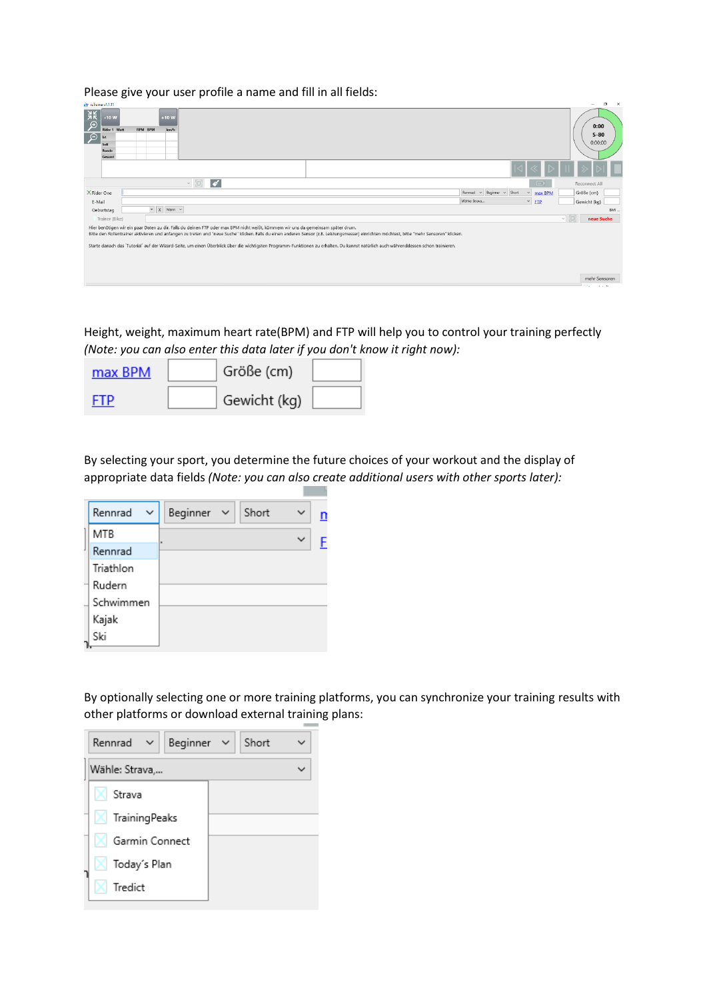Please give your user profile a name and fill in all fields:

| et icTrainerv1.1.11                          |                                         |         |                                  |                                                                                                                                                                                                                                                                                                                                   |        | $\sigma$ $\times$<br>$\overline{\phantom{a}}$ |
|----------------------------------------------|-----------------------------------------|---------|----------------------------------|-----------------------------------------------------------------------------------------------------------------------------------------------------------------------------------------------------------------------------------------------------------------------------------------------------------------------------------|--------|-----------------------------------------------|
| $rac{3k}{k}$<br>$\mathcal{P}$<br>$\Theta$ is | $-10W$<br>Rider 1 Watt<br>Soll<br>Runde | RPM BPM | $+10W$<br>km/h                   |                                                                                                                                                                                                                                                                                                                                   |        | 0:00<br>$S-80$<br>0:00:00                     |
|                                              | Gesamt                                  |         |                                  |                                                                                                                                                                                                                                                                                                                                   |        |                                               |
|                                              |                                         |         |                                  |                                                                                                                                                                                                                                                                                                                                   |        |                                               |
|                                              |                                         |         |                                  | $\sqrt{2}$<br>$\Box$<br>$\sim$ $\mid$ $\mid$                                                                                                                                                                                                                                                                                      |        | Reconnect All                                 |
| X Rider One                                  |                                         |         |                                  | Rennrad v Beginner v Short<br>max BPM<br>$\checkmark$                                                                                                                                                                                                                                                                             |        | Größe (cm)                                    |
| E-Mail                                       |                                         |         |                                  | Wähle: Strava<br>$~\vee$ FTP                                                                                                                                                                                                                                                                                                      |        | Gewicht (kg)                                  |
|                                              | Geburtstag                              |         | $\mathbb{R}$ X Mann $\mathbb{R}$ |                                                                                                                                                                                                                                                                                                                                   |        | BMI.                                          |
|                                              | Trainer (Bike)                          |         |                                  |                                                                                                                                                                                                                                                                                                                                   | $\vee$ | neue Suche                                    |
|                                              |                                         |         |                                  | Hier benötigen wir ein paar Daten zu dir. Falls du deinen FTP oder max BPM nicht weißt, kümmern wir uns da gemeinsam später drum.<br>Bitte den Rollentrainer aktivieren und anfangen zu treten und "neue Suche" klicken. Falls du einen anderen Sensor (z.B. Leistungsmesser) einrichten möchtest, bitte "mehr Sensoren" klicken. |        |                                               |
|                                              |                                         |         |                                  | Starte danach das `Tutorial' auf der Wizard-Seite, um einen Überblick über die wichtigsten Programm-Funktionen zu erhalten. Du kannst natürlich auch währenddessen schon trainieren.                                                                                                                                              |        |                                               |
|                                              |                                         |         |                                  |                                                                                                                                                                                                                                                                                                                                   |        |                                               |
|                                              |                                         |         |                                  |                                                                                                                                                                                                                                                                                                                                   |        |                                               |
|                                              |                                         |         |                                  |                                                                                                                                                                                                                                                                                                                                   |        |                                               |
|                                              |                                         |         |                                  |                                                                                                                                                                                                                                                                                                                                   |        | mehr Sensoren                                 |

Height, weight, maximum heart rate(BPM) and FTP will help you to control your training perfectly *(Note: you can also enter this data later if you don't know it right now):*

| max BPM | Größe (cm)   |  |
|---------|--------------|--|
| FTP     | Gewicht (kg) |  |

By selecting your sport, you determine the future choices of your workout and the display of appropriate data fields *(Note: you can also create additional users with other sports later):*

| Rennrad<br>$\checkmark$ | Beginner $\sim$ | Short | $\checkmark$ |  |
|-------------------------|-----------------|-------|--------------|--|
| <b>MTB</b>              | ٠               |       | $\checkmark$ |  |
| Rennrad                 |                 |       |              |  |
| Triathlon               |                 |       |              |  |
| Rudern                  |                 |       |              |  |
| Schwimmen               |                 |       |              |  |
| Kajak                   |                 |       |              |  |
| Ski                     |                 |       |              |  |

By optionally selecting one or more training platforms, you can synchronize your training results with other platforms or download external training plans:

| Beginner $\vee$<br>$Rennrad \sim$ | Short |  |
|-----------------------------------|-------|--|
| Wähle: Strava,                    |       |  |
| Strava                            |       |  |
| $\bowtie$ Training Peaks          |       |  |
| Garmin Connect                    |       |  |
| <b>X</b> Today's Plan             |       |  |
| Tredict                           |       |  |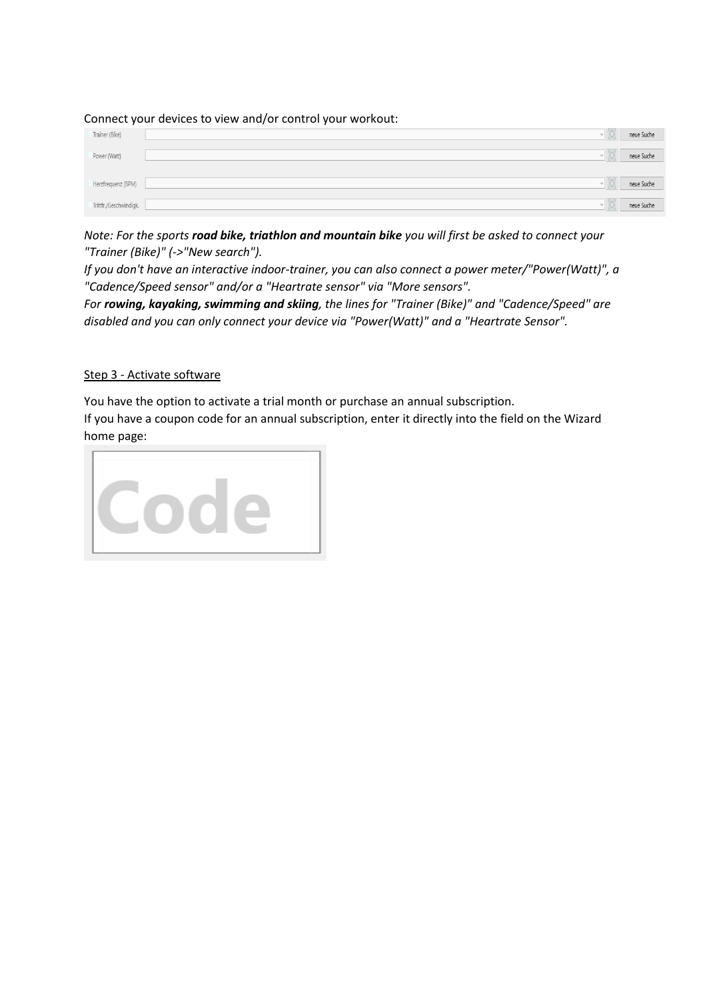Connect your devices to view and/or control your workout:

| . .<br>Trainer (Bike)  | __ | neue Suche |
|------------------------|----|------------|
| Power (Watt)           |    | neue Suche |
| Herzfrequenz (BPM)     |    | neue Suche |
| Trittfr./Geschwindigk. |    | neue Suche |

*Note: For the sports road bike, triathlon and mountain bike you will first be asked to connect your "Trainer (Bike)" (->"New search").* 

*If you don't have an interactive indoor-trainer, you can also connect a power meter/"Power(Watt)", a "Cadence/Speed sensor" and/or a "Heartrate sensor" via "More sensors".*

*For rowing, kayaking, swimming and skiing, the lines for "Trainer (Bike)" and "Cadence/Speed" are disabled and you can only connect your device via "Power(Watt)" and a "Heartrate Sensor".* 

#### Step 3 - Activate software

You have the option to activate a trial month or purchase an annual subscription. If you have a coupon code for an annual subscription, enter it directly into the field on the Wizard home page:

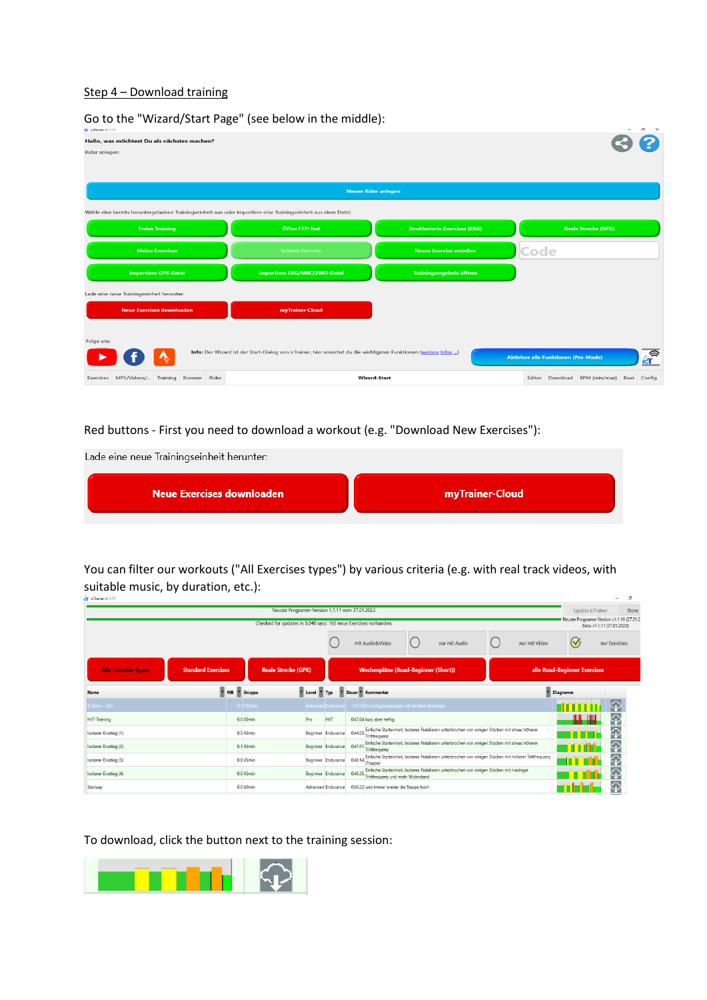#### Step 4 – Download training

| CT icTrainer v1.1.11 |                                              | OU to the virtual divident rage (see below in the middle).                                                         |                                      |                                             | $\sigma$<br>$\times$                      |
|----------------------|----------------------------------------------|--------------------------------------------------------------------------------------------------------------------|--------------------------------------|---------------------------------------------|-------------------------------------------|
| Rider anlegen:       | Hallo, was möchtest Du als nächstes machen?  |                                                                                                                    |                                      |                                             |                                           |
|                      |                                              | <b>Neuen Rider anlegen</b>                                                                                         |                                      |                                             |                                           |
|                      |                                              | Wähle eine bereits heruntergeladene Trainingseinheit aus oder importiere eine Trainingseinheit aus einer Datei:    |                                      |                                             |                                           |
|                      | <b>Freies Training</b>                       | Öffne FTP-Test                                                                                                     | <b>Strukturierte Exercises (ERG)</b> | <b>Reale Strecke (GPX)</b>                  |                                           |
|                      | <b>Meine Exercises</b>                       | <b>Letztes Exercise</b>                                                                                            | Neues Exercise erstellen             | Code                                        |                                           |
|                      | <b>Importiere GPX-Datei</b>                  | <b>Importiere ERG/MRC/ZWO-Datei</b>                                                                                | <b>Trainingsergebnis öffnen</b>      |                                             |                                           |
|                      | Lade eine neue Trainingseinheit herunter:    |                                                                                                                    |                                      |                                             |                                           |
|                      | <b>Neue Exercises downloaden</b>             | myTrainer-Cloud                                                                                                    |                                      |                                             |                                           |
| Folge uns:           |                                              | Info: Der Wizard ist der Start-Dialog von icTrainer, hier erreichst du die wichtigsten Funktionen (weitere Infos ) |                                      | <b>Aktiviere alle Funktionen (Pro-Mode)</b> | $\mathbf{r}$                              |
|                      | Exercises MP3/Videos/ Training Browser Rider | <b>Wizard-Start</b>                                                                                                |                                      |                                             | Editor Download BPM (min/max) Beat Config |

Go to the "Wizard/Start Page" (see below in the middle):

Red buttons - First you need to download a workout (e.g. "Download New Exercises"):

Lade eine neue Trainingseinheit herunter:

| Neue Exercises downloaden | myTrainer-Cloud |
|---------------------------|-----------------|
|---------------------------|-----------------|

You can filter our workouts ("All Exercises types") by various criteria (e.g. with real track videos, with suitable music, by duration, etc.):

| icTrainer v1.1.11          |                           |              |                                                                  |                    |                                                   |                                                                                                       |               |                              | n                                                                      |
|----------------------------|---------------------------|--------------|------------------------------------------------------------------|--------------------|---------------------------------------------------|-------------------------------------------------------------------------------------------------------|---------------|------------------------------|------------------------------------------------------------------------|
|                            |                           |              | Neuste Programm-Version 1.1.11 vom 27.01.2022                    |                    |                                                   |                                                                                                       |               | Update icTrainer             | Store                                                                  |
|                            |                           |              | Checked for updates in 0.040 secs: 165 neue Exercises vorhanden. |                    |                                                   |                                                                                                       |               |                              | Neuste Programm-Version v1.1.11 (27.01.2<br>Beta: v1.1.11 (27.01.2022) |
|                            |                           |              |                                                                  |                    | mit Audio&Video                                   | nur mit Audio                                                                                         | nur mit Video | $\mathcal{S}$                | nur Exercises                                                          |
| <b>Alle Exercise-Typen</b> | <b>Standard Exercises</b> |              | <b>Reale Strecke (GPX)</b>                                       |                    | Wochenpläne (Road-Beginner (Short))               |                                                                                                       |               | alle Road-Beginner Exercises |                                                                        |
| Name                       | $MB$ $\overline{ }$       | Gruppe       | Level T Typ                                                      |                    | Dauer Kommentar                                   |                                                                                                       |               | <b>Diagramm</b>              |                                                                        |
| El Teide - GA1             |                           | $0.1$ 120min |                                                                  | Advanced Endurance | 1:54:34 Grundlagenausdauer mit leichten Anstiegen |                                                                                                       |               |                              |                                                                        |
| HIIT-Training              |                           | 0.0 45min    | Pro                                                              | HIIT               | 0:47:04 kurz aber heftig                          |                                                                                                       |               |                              |                                                                        |
| lockerer Einstieg (1)      |                           | 0.5 45min    |                                                                  | Beginner Endurance | 0:44:03<br>Trittfrequenz                          | Einfache Starteinheit, lockeres Pedalieren unterbrochen von einigen Stücken mit etwas höherer         |               |                              |                                                                        |
| lockerer Einstieg (2)      |                           | 0.1 45min    |                                                                  | Beginner Endurance | 0:47:01<br>Trittfrequenz                          | Einfache Starteinheit. lockeres Pedalieren unterbrochen von einigen Stücken mit etwas höherer         |               |                              |                                                                        |
| lockerer Einstieg (3)      |                           | 0.8 45min    |                                                                  | Beginner Endurance | 0:46:14<br>(Treppe)                               | Einfache Starteinheit, lockeres Pedalieren unterbrochen von einigen Stücken mit höherer Trittfrequenz |               |                              |                                                                        |
| lockerer Einstieg (4)      |                           | 0.0 45min    |                                                                  | Beginner Endurance | 0:46:35<br>Trittfrequenz und mehr Widerstand      | Einfache Starteinheit, lockeres Pedalieren unterbrochen von einigen Stücken mit niedriger             |               |                              |                                                                        |
| Stairway                   |                           | 0.0 60min    |                                                                  | Advanced Endurance | 0:56:22 und immer wieder die Treppe hoch          |                                                                                                       |               |                              |                                                                        |

To download, click the button next to the training session: